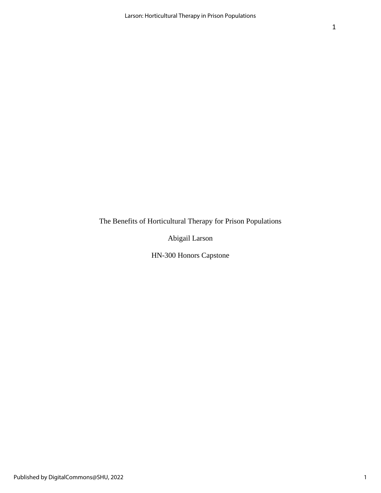The Benefits of Horticultural Therapy for Prison Populations

Abigail Larson

HN-300 Honors Capstone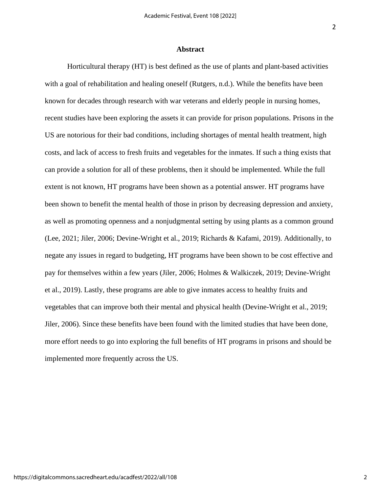### **Abstract**

Horticultural therapy (HT) is best defined as the use of plants and plant-based activities with a goal of rehabilitation and healing oneself (Rutgers, n.d.). While the benefits have been known for decades through research with war veterans and elderly people in nursing homes, recent studies have been exploring the assets it can provide for prison populations. Prisons in the US are notorious for their bad conditions, including shortages of mental health treatment, high costs, and lack of access to fresh fruits and vegetables for the inmates. If such a thing exists that can provide a solution for all of these problems, then it should be implemented. While the full extent is not known, HT programs have been shown as a potential answer. HT programs have been shown to benefit the mental health of those in prison by decreasing depression and anxiety, as well as promoting openness and a nonjudgmental setting by using plants as a common ground (Lee, 2021; Jiler, 2006; Devine-Wright et al., 2019; Richards & Kafami, 2019). Additionally, to negate any issues in regard to budgeting, HT programs have been shown to be cost effective and pay for themselves within a few years (Jiler, 2006; Holmes & Walkiczek, 2019; Devine-Wright et al., 2019). Lastly, these programs are able to give inmates access to healthy fruits and vegetables that can improve both their mental and physical health (Devine-Wright et al., 2019; Jiler, 2006). Since these benefits have been found with the limited studies that have been done, more effort needs to go into exploring the full benefits of HT programs in prisons and should be implemented more frequently across the US.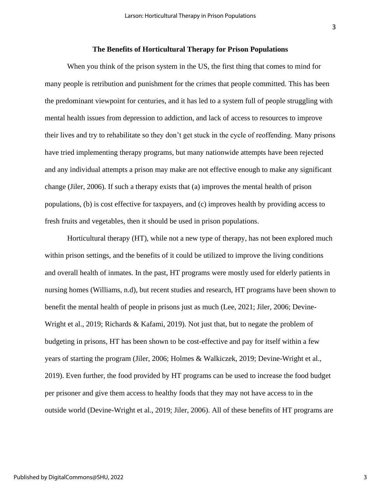#### 3

### **The Benefits of Horticultural Therapy for Prison Populations**

When you think of the prison system in the US, the first thing that comes to mind for many people is retribution and punishment for the crimes that people committed. This has been the predominant viewpoint for centuries, and it has led to a system full of people struggling with mental health issues from depression to addiction, and lack of access to resources to improve their lives and try to rehabilitate so they don't get stuck in the cycle of reoffending. Many prisons have tried implementing therapy programs, but many nationwide attempts have been rejected and any individual attempts a prison may make are not effective enough to make any significant change (Jiler, 2006). If such a therapy exists that (a) improves the mental health of prison populations, (b) is cost effective for taxpayers, and (c) improves health by providing access to fresh fruits and vegetables, then it should be used in prison populations.

Horticultural therapy (HT), while not a new type of therapy, has not been explored much within prison settings, and the benefits of it could be utilized to improve the living conditions and overall health of inmates. In the past, HT programs were mostly used for elderly patients in nursing homes (Williams, n.d), but recent studies and research, HT programs have been shown to benefit the mental health of people in prisons just as much (Lee, 2021; Jiler, 2006; Devine-Wright et al., 2019; Richards & Kafami, 2019). Not just that, but to negate the problem of budgeting in prisons, HT has been shown to be cost-effective and pay for itself within a few years of starting the program (Jiler, 2006; Holmes & Walkiczek, 2019; Devine-Wright et al., 2019). Even further, the food provided by HT programs can be used to increase the food budget per prisoner and give them access to healthy foods that they may not have access to in the outside world (Devine-Wright et al., 2019; Jiler, 2006). All of these benefits of HT programs are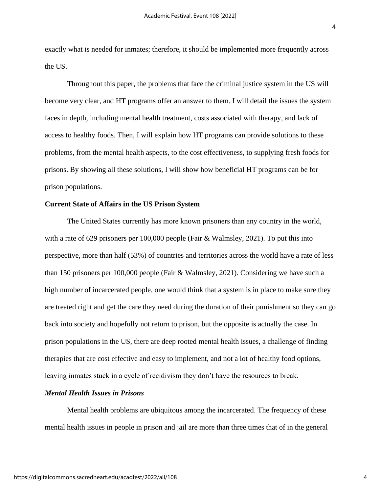exactly what is needed for inmates; therefore, it should be implemented more frequently across the US.

Throughout this paper, the problems that face the criminal justice system in the US will become very clear, and HT programs offer an answer to them. I will detail the issues the system faces in depth, including mental health treatment, costs associated with therapy, and lack of access to healthy foods. Then, I will explain how HT programs can provide solutions to these problems, from the mental health aspects, to the cost effectiveness, to supplying fresh foods for prisons. By showing all these solutions, I will show how beneficial HT programs can be for prison populations.

## **Current State of Affairs in the US Prison System**

The United States currently has more known prisoners than any country in the world, with a rate of 629 prisoners per 100,000 people (Fair & Walmsley, 2021). To put this into perspective, more than half (53%) of countries and territories across the world have a rate of less than 150 prisoners per 100,000 people (Fair & Walmsley, 2021). Considering we have such a high number of incarcerated people, one would think that a system is in place to make sure they are treated right and get the care they need during the duration of their punishment so they can go back into society and hopefully not return to prison, but the opposite is actually the case. In prison populations in the US, there are deep rooted mental health issues, a challenge of finding therapies that are cost effective and easy to implement, and not a lot of healthy food options, leaving inmates stuck in a cycle of recidivism they don't have the resources to break.

#### *Mental Health Issues in Prisons*

Mental health problems are ubiquitous among the incarcerated. The frequency of these mental health issues in people in prison and jail are more than three times that of in the general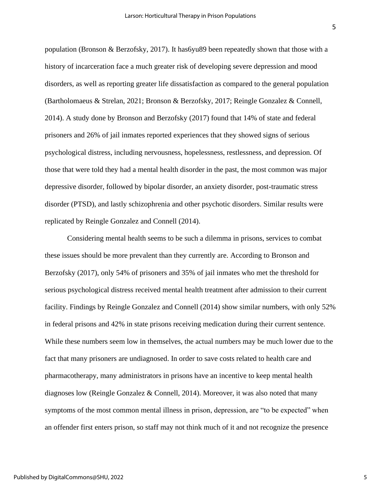population (Bronson & Berzofsky, 2017). It has6yu89 been repeatedly shown that those with a history of incarceration face a much greater risk of developing severe depression and mood disorders, as well as reporting greater life dissatisfaction as compared to the general population (Bartholomaeus & Strelan, 2021; Bronson & Berzofsky, 2017; Reingle Gonzalez & Connell, 2014). A study done by Bronson and Berzofsky (2017) found that 14% of state and federal prisoners and 26% of jail inmates reported experiences that they showed signs of serious psychological distress, including nervousness, hopelessness, restlessness, and depression. Of those that were told they had a mental health disorder in the past, the most common was major depressive disorder, followed by bipolar disorder, an anxiety disorder, post-traumatic stress disorder (PTSD), and lastly schizophrenia and other psychotic disorders. Similar results were replicated by Reingle Gonzalez and Connell (2014).

Considering mental health seems to be such a dilemma in prisons, services to combat these issues should be more prevalent than they currently are. According to Bronson and Berzofsky (2017), only 54% of prisoners and 35% of jail inmates who met the threshold for serious psychological distress received mental health treatment after admission to their current facility. Findings by Reingle Gonzalez and Connell (2014) show similar numbers, with only 52% in federal prisons and 42% in state prisons receiving medication during their current sentence. While these numbers seem low in themselves, the actual numbers may be much lower due to the fact that many prisoners are undiagnosed. In order to save costs related to health care and pharmacotherapy, many administrators in prisons have an incentive to keep mental health diagnoses low (Reingle Gonzalez & Connell, 2014). Moreover, it was also noted that many symptoms of the most common mental illness in prison, depression, are "to be expected" when an offender first enters prison, so staff may not think much of it and not recognize the presence

5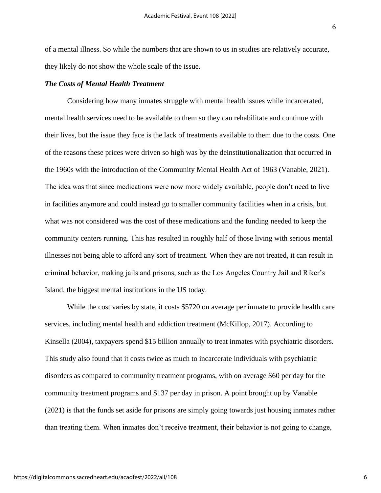of a mental illness. So while the numbers that are shown to us in studies are relatively accurate, they likely do not show the whole scale of the issue.

### *The Costs of Mental Health Treatment*

Considering how many inmates struggle with mental health issues while incarcerated, mental health services need to be available to them so they can rehabilitate and continue with their lives, but the issue they face is the lack of treatments available to them due to the costs. One of the reasons these prices were driven so high was by the deinstitutionalization that occurred in the 1960s with the introduction of the Community Mental Health Act of 1963 (Vanable, 2021). The idea was that since medications were now more widely available, people don't need to live in facilities anymore and could instead go to smaller community facilities when in a crisis, but what was not considered was the cost of these medications and the funding needed to keep the community centers running. This has resulted in roughly half of those living with serious mental illnesses not being able to afford any sort of treatment. When they are not treated, it can result in criminal behavior, making jails and prisons, such as the Los Angeles Country Jail and Riker's Island, the biggest mental institutions in the US today.

While the cost varies by state, it costs \$5720 on average per inmate to provide health care services, including mental health and addiction treatment (McKillop, 2017). According to Kinsella (2004), taxpayers spend \$15 billion annually to treat inmates with psychiatric disorders. This study also found that it costs twice as much to incarcerate individuals with psychiatric disorders as compared to community treatment programs, with on average \$60 per day for the community treatment programs and \$137 per day in prison. A point brought up by Vanable (2021) is that the funds set aside for prisons are simply going towards just housing inmates rather than treating them. When inmates don't receive treatment, their behavior is not going to change,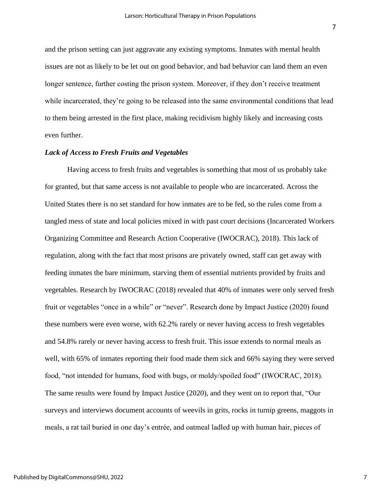and the prison setting can just aggravate any existing symptoms. Inmates with mental health issues are not as likely to be let out on good behavior, and bad behavior can land them an even longer sentence, further costing the prison system. Moreover, if they don't receive treatment while incarcerated, they're going to be released into the same environmental conditions that lead to them being arrested in the first place, making recidivism highly likely and increasing costs even further.

#### *Lack of Access to Fresh Fruits and Vegetables*

Having access to fresh fruits and vegetables is something that most of us probably take for granted, but that same access is not available to people who are incarcerated. Across the United States there is no set standard for how inmates are to be fed, so the rules come from a tangled mess of state and local policies mixed in with past court decisions (Incarcerated Workers Organizing Committee and Research Action Cooperative (IWOCRAC), 2018). This lack of regulation, along with the fact that most prisons are privately owned, staff can get away with feeding inmates the bare minimum, starving them of essential nutrients provided by fruits and vegetables. Research by IWOCRAC (2018) revealed that 40% of inmates were only served fresh fruit or vegetables "once in a while" or "never". Research done by Impact Justice (2020) found these numbers were even worse, with 62.2% rarely or never having access to fresh vegetables and 54.8% rarely or never having access to fresh fruit. This issue extends to normal meals as well, with 65% of inmates reporting their food made them sick and 66% saying they were served food, "not intended for humans, food with bugs, or moldy/spoiled food" (IWOCRAC, 2018). The same results were found by Impact Justice (2020), and they went on to report that, "Our surveys and interviews document accounts of weevils in grits, rocks in turnip greens, maggots in meals, a rat tail buried in one day's entrée, and oatmeal ladled up with human hair, pieces of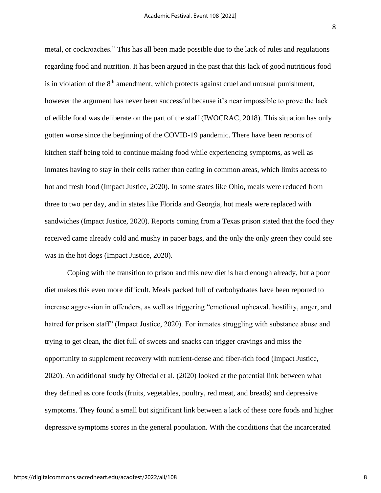metal, or cockroaches." This has all been made possible due to the lack of rules and regulations regarding food and nutrition. It has been argued in the past that this lack of good nutritious food is in violation of the  $8<sup>th</sup>$  amendment, which protects against cruel and unusual punishment, however the argument has never been successful because it's near impossible to prove the lack of edible food was deliberate on the part of the staff (IWOCRAC, 2018). This situation has only gotten worse since the beginning of the COVID-19 pandemic. There have been reports of kitchen staff being told to continue making food while experiencing symptoms, as well as inmates having to stay in their cells rather than eating in common areas, which limits access to hot and fresh food (Impact Justice, 2020). In some states like Ohio, meals were reduced from three to two per day, and in states like Florida and Georgia, hot meals were replaced with sandwiches (Impact Justice, 2020). Reports coming from a Texas prison stated that the food they received came already cold and mushy in paper bags, and the only the only green they could see was in the hot dogs (Impact Justice, 2020).

Coping with the transition to prison and this new diet is hard enough already, but a poor diet makes this even more difficult. Meals packed full of carbohydrates have been reported to increase aggression in offenders, as well as triggering "emotional upheaval, hostility, anger, and hatred for prison staff" (Impact Justice, 2020). For inmates struggling with substance abuse and trying to get clean, the diet full of sweets and snacks can trigger cravings and miss the opportunity to supplement recovery with nutrient-dense and fiber-rich food (Impact Justice, 2020). An additional study by Oftedal et al. (2020) looked at the potential link between what they defined as core foods (fruits, vegetables, poultry, red meat, and breads) and depressive symptoms. They found a small but significant link between a lack of these core foods and higher depressive symptoms scores in the general population. With the conditions that the incarcerated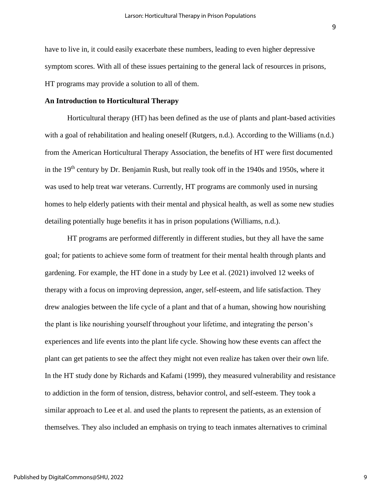have to live in, it could easily exacerbate these numbers, leading to even higher depressive symptom scores. With all of these issues pertaining to the general lack of resources in prisons, HT programs may provide a solution to all of them.

### **An Introduction to Horticultural Therapy**

Horticultural therapy (HT) has been defined as the use of plants and plant-based activities with a goal of rehabilitation and healing oneself (Rutgers, n.d.). According to the Williams (n.d.) from the American Horticultural Therapy Association, the benefits of HT were first documented in the 19<sup>th</sup> century by Dr. Benjamin Rush, but really took off in the 1940s and 1950s, where it was used to help treat war veterans. Currently, HT programs are commonly used in nursing homes to help elderly patients with their mental and physical health, as well as some new studies detailing potentially huge benefits it has in prison populations (Williams, n.d.).

HT programs are performed differently in different studies, but they all have the same goal; for patients to achieve some form of treatment for their mental health through plants and gardening. For example, the HT done in a study by Lee et al. (2021) involved 12 weeks of therapy with a focus on improving depression, anger, self-esteem, and life satisfaction. They drew analogies between the life cycle of a plant and that of a human, showing how nourishing the plant is like nourishing yourself throughout your lifetime, and integrating the person's experiences and life events into the plant life cycle. Showing how these events can affect the plant can get patients to see the affect they might not even realize has taken over their own life. In the HT study done by Richards and Kafami (1999), they measured vulnerability and resistance to addiction in the form of tension, distress, behavior control, and self-esteem. They took a similar approach to Lee et al. and used the plants to represent the patients, as an extension of themselves. They also included an emphasis on trying to teach inmates alternatives to criminal

9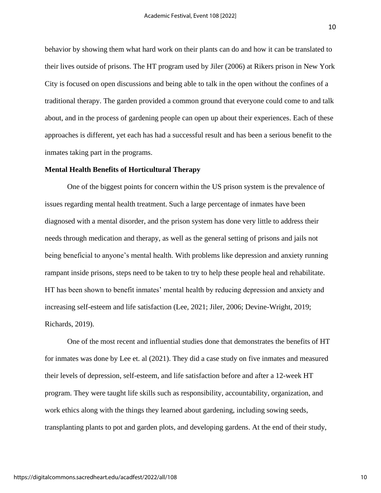behavior by showing them what hard work on their plants can do and how it can be translated to their lives outside of prisons. The HT program used by Jiler (2006) at Rikers prison in New York City is focused on open discussions and being able to talk in the open without the confines of a traditional therapy. The garden provided a common ground that everyone could come to and talk about, and in the process of gardening people can open up about their experiences. Each of these approaches is different, yet each has had a successful result and has been a serious benefit to the inmates taking part in the programs.

# **Mental Health Benefits of Horticultural Therapy**

One of the biggest points for concern within the US prison system is the prevalence of issues regarding mental health treatment. Such a large percentage of inmates have been diagnosed with a mental disorder, and the prison system has done very little to address their needs through medication and therapy, as well as the general setting of prisons and jails not being beneficial to anyone's mental health. With problems like depression and anxiety running rampant inside prisons, steps need to be taken to try to help these people heal and rehabilitate. HT has been shown to benefit inmates' mental health by reducing depression and anxiety and increasing self-esteem and life satisfaction (Lee, 2021; Jiler, 2006; Devine-Wright, 2019; Richards, 2019).

One of the most recent and influential studies done that demonstrates the benefits of HT for inmates was done by Lee et. al (2021). They did a case study on five inmates and measured their levels of depression, self-esteem, and life satisfaction before and after a 12-week HT program. They were taught life skills such as responsibility, accountability, organization, and work ethics along with the things they learned about gardening, including sowing seeds, transplanting plants to pot and garden plots, and developing gardens. At the end of their study,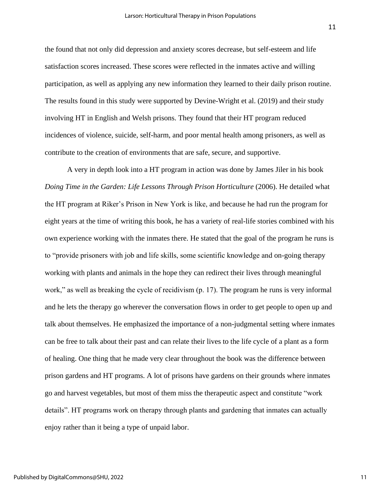the found that not only did depression and anxiety scores decrease, but self-esteem and life satisfaction scores increased. These scores were reflected in the inmates active and willing participation, as well as applying any new information they learned to their daily prison routine. The results found in this study were supported by Devine-Wright et al. (2019) and their study involving HT in English and Welsh prisons. They found that their HT program reduced incidences of violence, suicide, self-harm, and poor mental health among prisoners, as well as contribute to the creation of environments that are safe, secure, and supportive.

A very in depth look into a HT program in action was done by James Jiler in his book *Doing Time in the Garden: Life Lessons Through Prison Horticulture (2006). He detailed what* the HT program at Riker's Prison in New York is like, and because he had run the program for eight years at the time of writing this book, he has a variety of real-life stories combined with his own experience working with the inmates there. He stated that the goal of the program he runs is to "provide prisoners with job and life skills, some scientific knowledge and on-going therapy working with plants and animals in the hope they can redirect their lives through meaningful work," as well as breaking the cycle of recidivism (p. 17). The program he runs is very informal and he lets the therapy go wherever the conversation flows in order to get people to open up and talk about themselves. He emphasized the importance of a non-judgmental setting where inmates can be free to talk about their past and can relate their lives to the life cycle of a plant as a form of healing. One thing that he made very clear throughout the book was the difference between prison gardens and HT programs. A lot of prisons have gardens on their grounds where inmates go and harvest vegetables, but most of them miss the therapeutic aspect and constitute "work details". HT programs work on therapy through plants and gardening that inmates can actually enjoy rather than it being a type of unpaid labor.

11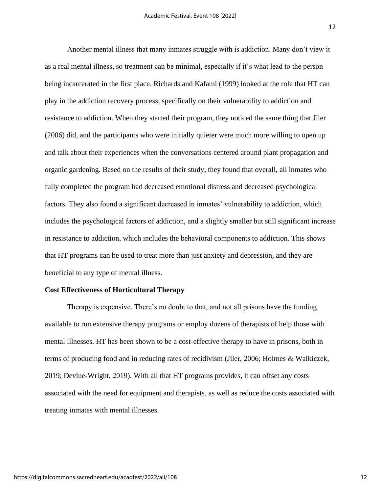Another mental illness that many inmates struggle with is addiction. Many don't view it as a real mental illness, so treatment can be minimal, especially if it's what lead to the person being incarcerated in the first place. Richards and Kafami (1999) looked at the role that HT can play in the addiction recovery process, specifically on their vulnerability to addiction and resistance to addiction. When they started their program, they noticed the same thing that Jiler (2006) did, and the participants who were initially quieter were much more willing to open up and talk about their experiences when the conversations centered around plant propagation and organic gardening. Based on the results of their study, they found that overall, all inmates who fully completed the program had decreased emotional distress and decreased psychological factors. They also found a significant decreased in inmates' vulnerability to addiction, which includes the psychological factors of addiction, and a slightly smaller but still significant increase in resistance to addiction, which includes the behavioral components to addiction. This shows that HT programs can be used to treat more than just anxiety and depression, and they are beneficial to any type of mental illness.

#### **Cost Effectiveness of Horticultural Therapy**

Therapy is expensive. There's no doubt to that, and not all prisons have the funding available to run extensive therapy programs or employ dozens of therapists of help those with mental illnesses. HT has been shown to be a cost-effective therapy to have in prisons, both in terms of producing food and in reducing rates of recidivism (Jiler, 2006; Holmes & Walkiczek, 2019; Devine-Wright, 2019). With all that HT programs provides, it can offset any costs associated with the need for equipment and therapists, as well as reduce the costs associated with treating inmates with mental illnesses.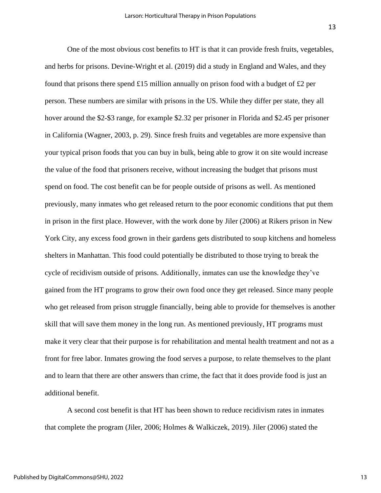One of the most obvious cost benefits to HT is that it can provide fresh fruits, vegetables, and herbs for prisons. Devine-Wright et al. (2019) did a study in England and Wales, and they found that prisons there spend £15 million annually on prison food with a budget of £2 per person. These numbers are similar with prisons in the US. While they differ per state, they all hover around the \$2-\$3 range, for example \$2.32 per prisoner in Florida and \$2.45 per prisoner in California (Wagner, 2003, p. 29). Since fresh fruits and vegetables are more expensive than your typical prison foods that you can buy in bulk, being able to grow it on site would increase the value of the food that prisoners receive, without increasing the budget that prisons must spend on food. The cost benefit can be for people outside of prisons as well. As mentioned previously, many inmates who get released return to the poor economic conditions that put them in prison in the first place. However, with the work done by Jiler (2006) at Rikers prison in New York City, any excess food grown in their gardens gets distributed to soup kitchens and homeless shelters in Manhattan. This food could potentially be distributed to those trying to break the cycle of recidivism outside of prisons. Additionally, inmates can use the knowledge they've gained from the HT programs to grow their own food once they get released. Since many people who get released from prison struggle financially, being able to provide for themselves is another skill that will save them money in the long run. As mentioned previously, HT programs must make it very clear that their purpose is for rehabilitation and mental health treatment and not as a front for free labor. Inmates growing the food serves a purpose, to relate themselves to the plant and to learn that there are other answers than crime, the fact that it does provide food is just an additional benefit.

A second cost benefit is that HT has been shown to reduce recidivism rates in inmates that complete the program (Jiler, 2006; Holmes & Walkiczek, 2019). Jiler (2006) stated the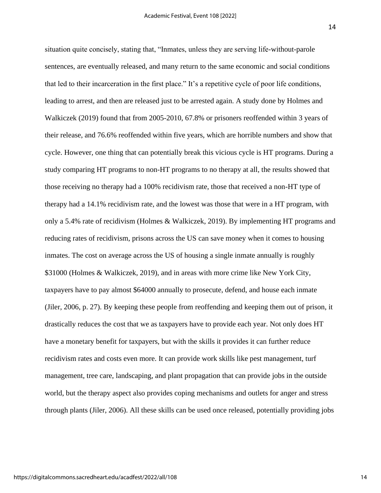14

situation quite concisely, stating that, "Inmates, unless they are serving life-without-parole sentences, are eventually released, and many return to the same economic and social conditions that led to their incarceration in the first place." It's a repetitive cycle of poor life conditions, leading to arrest, and then are released just to be arrested again. A study done by Holmes and Walkiczek (2019) found that from 2005-2010, 67.8% or prisoners reoffended within 3 years of their release, and 76.6% reoffended within five years, which are horrible numbers and show that cycle. However, one thing that can potentially break this vicious cycle is HT programs. During a study comparing HT programs to non-HT programs to no therapy at all, the results showed that those receiving no therapy had a 100% recidivism rate, those that received a non-HT type of therapy had a 14.1% recidivism rate, and the lowest was those that were in a HT program, with only a 5.4% rate of recidivism (Holmes & Walkiczek, 2019). By implementing HT programs and reducing rates of recidivism, prisons across the US can save money when it comes to housing inmates. The cost on average across the US of housing a single inmate annually is roughly \$31000 (Holmes & Walkiczek, 2019), and in areas with more crime like New York City, taxpayers have to pay almost \$64000 annually to prosecute, defend, and house each inmate (Jiler, 2006, p. 27). By keeping these people from reoffending and keeping them out of prison, it drastically reduces the cost that we as taxpayers have to provide each year. Not only does HT have a monetary benefit for taxpayers, but with the skills it provides it can further reduce recidivism rates and costs even more. It can provide work skills like pest management, turf management, tree care, landscaping, and plant propagation that can provide jobs in the outside world, but the therapy aspect also provides coping mechanisms and outlets for anger and stress through plants (Jiler, 2006). All these skills can be used once released, potentially providing jobs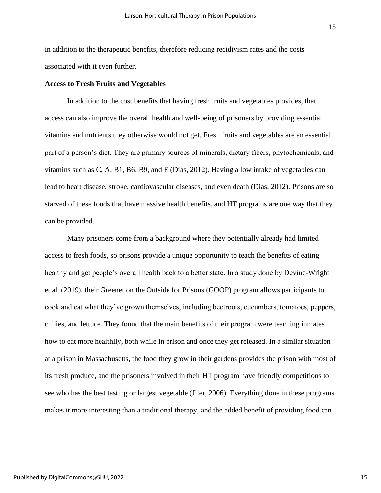in addition to the therapeutic benefits, therefore reducing recidivism rates and the costs associated with it even further.

### **Access to Fresh Fruits and Vegetables**

In addition to the cost benefits that having fresh fruits and vegetables provides, that access can also improve the overall health and well-being of prisoners by providing essential vitamins and nutrients they otherwise would not get. Fresh fruits and vegetables are an essential part of a person's diet. They are primary sources of minerals, dietary fibers, phytochemicals, and vitamins such as C, A, B1, B6, B9, and E (Dias, 2012). Having a low intake of vegetables can lead to heart disease, stroke, cardiovascular diseases, and even death (Dias, 2012). Prisons are so starved of these foods that have massive health benefits, and HT programs are one way that they can be provided.

Many prisoners come from a background where they potentially already had limited access to fresh foods, so prisons provide a unique opportunity to teach the benefits of eating healthy and get people's overall health back to a better state. In a study done by Devine-Wright et al. (2019), their Greener on the Outside for Prisons (GOOP) program allows participants to cook and eat what they've grown themselves, including beetroots, cucumbers, tomatoes, peppers, chilies, and lettuce. They found that the main benefits of their program were teaching inmates how to eat more healthily, both while in prison and once they get released. In a similar situation at a prison in Massachusetts, the food they grow in their gardens provides the prison with most of its fresh produce, and the prisoners involved in their HT program have friendly competitions to see who has the best tasting or largest vegetable (Jiler, 2006). Everything done in these programs makes it more interesting than a traditional therapy, and the added benefit of providing food can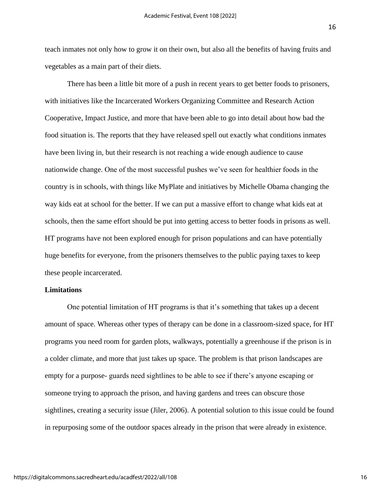teach inmates not only how to grow it on their own, but also all the benefits of having fruits and vegetables as a main part of their diets.

There has been a little bit more of a push in recent years to get better foods to prisoners, with initiatives like the Incarcerated Workers Organizing Committee and Research Action Cooperative, Impact Justice, and more that have been able to go into detail about how bad the food situation is. The reports that they have released spell out exactly what conditions inmates have been living in, but their research is not reaching a wide enough audience to cause nationwide change. One of the most successful pushes we've seen for healthier foods in the country is in schools, with things like MyPlate and initiatives by Michelle Obama changing the way kids eat at school for the better. If we can put a massive effort to change what kids eat at schools, then the same effort should be put into getting access to better foods in prisons as well. HT programs have not been explored enough for prison populations and can have potentially huge benefits for everyone, from the prisoners themselves to the public paying taxes to keep these people incarcerated.

# **Limitations**

One potential limitation of HT programs is that it's something that takes up a decent amount of space. Whereas other types of therapy can be done in a classroom-sized space, for HT programs you need room for garden plots, walkways, potentially a greenhouse if the prison is in a colder climate, and more that just takes up space. The problem is that prison landscapes are empty for a purpose- guards need sightlines to be able to see if there's anyone escaping or someone trying to approach the prison, and having gardens and trees can obscure those sightlines, creating a security issue (Jiler, 2006). A potential solution to this issue could be found in repurposing some of the outdoor spaces already in the prison that were already in existence.

https://digitalcommons.sacredheart.edu/acadfest/2022/all/108

16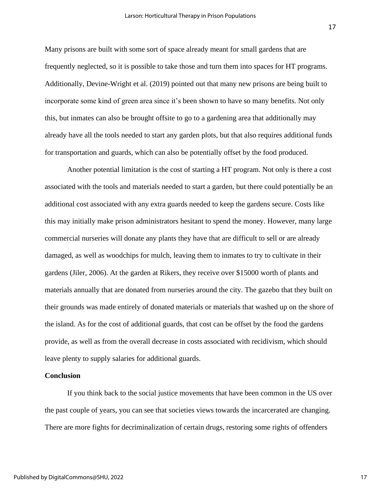Many prisons are built with some sort of space already meant for small gardens that are frequently neglected, so it is possible to take those and turn them into spaces for HT programs. Additionally, Devine-Wright et al. (2019) pointed out that many new prisons are being built to incorporate some kind of green area since it's been shown to have so many benefits. Not only this, but inmates can also be brought offsite to go to a gardening area that additionally may already have all the tools needed to start any garden plots, but that also requires additional funds for transportation and guards, which can also be potentially offset by the food produced.

Another potential limitation is the cost of starting a HT program. Not only is there a cost associated with the tools and materials needed to start a garden, but there could potentially be an additional cost associated with any extra guards needed to keep the gardens secure. Costs like this may initially make prison administrators hesitant to spend the money. However, many large commercial nurseries will donate any plants they have that are difficult to sell or are already damaged, as well as woodchips for mulch, leaving them to inmates to try to cultivate in their gardens (Jiler, 2006). At the garden at Rikers, they receive over \$15000 worth of plants and materials annually that are donated from nurseries around the city. The gazebo that they built on their grounds was made entirely of donated materials or materials that washed up on the shore of the island. As for the cost of additional guards, that cost can be offset by the food the gardens provide, as well as from the overall decrease in costs associated with recidivism, which should leave plenty to supply salaries for additional guards.

# **Conclusion**

If you think back to the social justice movements that have been common in the US over the past couple of years, you can see that societies views towards the incarcerated are changing. There are more fights for decriminalization of certain drugs, restoring some rights of offenders

17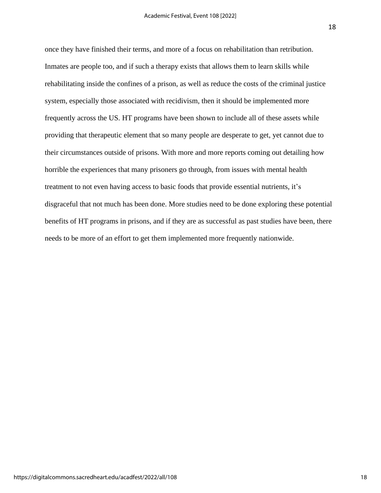once they have finished their terms, and more of a focus on rehabilitation than retribution. Inmates are people too, and if such a therapy exists that allows them to learn skills while rehabilitating inside the confines of a prison, as well as reduce the costs of the criminal justice system, especially those associated with recidivism, then it should be implemented more frequently across the US. HT programs have been shown to include all of these assets while providing that therapeutic element that so many people are desperate to get, yet cannot due to their circumstances outside of prisons. With more and more reports coming out detailing how horrible the experiences that many prisoners go through, from issues with mental health treatment to not even having access to basic foods that provide essential nutrients, it's disgraceful that not much has been done. More studies need to be done exploring these potential benefits of HT programs in prisons, and if they are as successful as past studies have been, there needs to be more of an effort to get them implemented more frequently nationwide.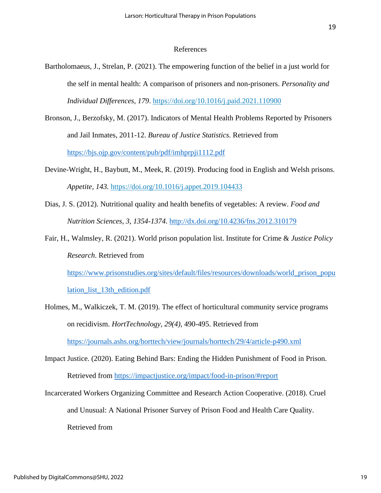### References

- Bartholomaeus, J., Strelan, P. (2021). The empowering function of the belief in a just world for the self in mental health: A comparison of prisoners and non-prisoners. *Personality and Individual Differences, 179*.<https://doi.org/10.1016/j.paid.2021.110900>
- Bronson, J., Berzofsky, M. (2017). Indicators of Mental Health Problems Reported by Prisoners and Jail Inmates, 2011-12. *Bureau of Justice Statistics.* Retrieved from <https://bjs.ojp.gov/content/pub/pdf/imhprpji1112.pdf>
- Devine-Wright, H., Baybutt, M., Meek, R. (2019). Producing food in English and Welsh prisons. *Appetite, 143.* <https://doi.org/10.1016/j.appet.2019.104433>
- Dias, J. S. (2012). Nutritional quality and health benefits of vegetables: A review. *Food and Nutrition Sciences, 3, 1354-1374*.<http://dx.doi.org/10.4236/fns.2012.310179>

Fair, H., Walmsley, R. (2021). World prison population list. Institute for Crime & *Justice Policy Research*. Retrieved from

[https://www.prisonstudies.org/sites/default/files/resources/downloads/world\\_prison\\_popu](https://www.prisonstudies.org/sites/default/files/resources/downloads/world_prison_population_list_13th_edition.pdf)

[lation\\_list\\_13th\\_edition.pdf](https://www.prisonstudies.org/sites/default/files/resources/downloads/world_prison_population_list_13th_edition.pdf)

- Holmes, M., Walkiczek, T. M. (2019). The effect of horticultural community service programs on recidivism. *HortTechnology, 29(4),* 490-495. Retrieved from <https://journals.ashs.org/horttech/view/journals/horttech/29/4/article-p490.xml>
- Impact Justice. (2020). Eating Behind Bars: Ending the Hidden Punishment of Food in Prison. Retrieved from<https://impactjustice.org/impact/food-in-prison/#report>
- Incarcerated Workers Organizing Committee and Research Action Cooperative. (2018). Cruel and Unusual: A National Prisoner Survey of Prison Food and Health Care Quality. Retrieved from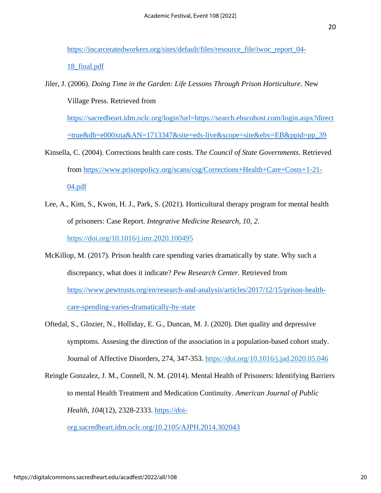[https://incarceratedworkers.org/sites/default/files/resource\\_file/iwoc\\_report\\_04-](https://incarceratedworkers.org/sites/default/files/resource_file/iwoc_report_04-18_final.pdf)

[18\\_final.pdf](https://incarceratedworkers.org/sites/default/files/resource_file/iwoc_report_04-18_final.pdf)

Jiler, J. (2006). *Doing Time in the Garden: Life Lessons Through Prison Horticulture*. New Village Press. Retrieved from

[https://sacredheart.idm.oclc.org/login?url=https://search.ebscohost.com/login.aspx?direct](https://sacredheart.idm.oclc.org/login?url=https://search.ebscohost.com/login.aspx?direct=true&db=e000xna&AN=1713347&site=eds-live&scope=site&ebv=EB&ppid=pp_39) [=true&db=e000xna&AN=1713347&site=eds-live&scope=site&ebv=EB&ppid=pp\\_39](https://sacredheart.idm.oclc.org/login?url=https://search.ebscohost.com/login.aspx?direct=true&db=e000xna&AN=1713347&site=eds-live&scope=site&ebv=EB&ppid=pp_39)

- Kinsella, C. (2004). Corrections health care costs. T*he Council of State Governments.* Retrieved from [https://www.prisonpolicy.org/scans/csg/Corrections+Health+Care+Costs+1-21-](https://www.prisonpolicy.org/scans/csg/Corrections+Health+Care+Costs+1-21-04.pdf) [04.pdf](https://www.prisonpolicy.org/scans/csg/Corrections+Health+Care+Costs+1-21-04.pdf)
- Lee, A., Kim, S., Kwon, H. J., Park, S. (2021). Horticultural therapy program for mental health of prisoners: Case Report. *Integrative Medicine Research, 10, 2*. <https://doi.org/10.1016/j.imr.2020.100495>
- McKillop, M. (2017). Prison health care spending varies dramatically by state. Why such a discrepancy, what does it indicate? *Pew Research Center.* Retrieved from [https://www.pewtrusts.org/en/research-and-analysis/articles/2017/12/15/prison-health](https://www.pewtrusts.org/en/research-and-analysis/articles/2017/12/15/prison-health-care-spending-varies-dramatically-by-state)[care-spending-varies-dramatically-by-state](https://www.pewtrusts.org/en/research-and-analysis/articles/2017/12/15/prison-health-care-spending-varies-dramatically-by-state)
- Oftedal, S., Glozier, N., Holliday, E. G., Duncan, M. J. (2020). Diet quality and depressive symptoms. Assesing the direction of the association in a population-based cohort study. Journal of Affective Disorders, 274, 347-353. [https://doi.org/10.1016/j.jad.2020.05.046](https://doi-org.sacredheart.idm.oclc.org/10.1016/j.jad.2020.05.046)

Reingle Gonzalez, J. M., Connell, N. M. (2014). Mental Health of Prisoners: Identifying Barriers to mental Health Treatment and Medication Continuity. *American Journal of Public Health, 104*(12), 2328-2333. [https://doi-](https://doi-org.sacredheart.idm.oclc.org/10.2105/AJPH.2014.302043)

[org.sacredheart.idm.oclc.org/10.2105/AJPH.2014.302043](https://doi-org.sacredheart.idm.oclc.org/10.2105/AJPH.2014.302043)